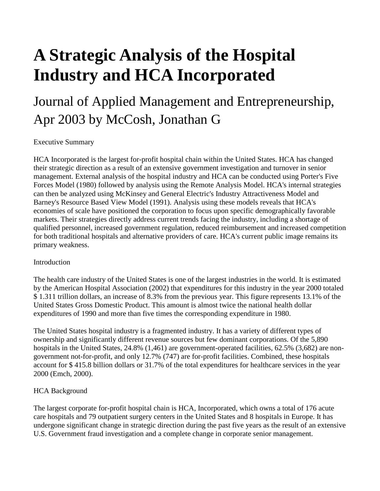# **A Strategic Analysis of the Hospital Industry and HCA Incorporated**

# Journal of Applied Management and Entrepreneurship, Apr 2003 by McCosh, Jonathan G

Executive Summary

HCA Incorporated is the largest for-profit hospital chain within the United States. HCA has changed their strategic direction as a result of an extensive government investigation and turnover in senior management. External analysis of the hospital industry and HCA can be conducted using Porter's Five Forces Model (1980) followed by analysis using the Remote Analysis Model. HCA's internal strategies can then be analyzed using McKinsey and General Electric's Industry Attractiveness Model and Barney's Resource Based View Model (1991). Analysis using these models reveals that HCA's economies of scale have positioned the corporation to focus upon specific demographically favorable markets. Their strategies directly address current trends facing the industry, including a shortage of qualified personnel, increased government regulation, reduced reimbursement and increased competition for both traditional hospitals and alternative providers of care. HCA's current public image remains its primary weakness.

#### **Introduction**

The health care industry of the United States is one of the largest industries in the world. It is estimated by the American Hospital Association (2002) that expenditures for this industry in the year 2000 totaled \$ 1.311 trillion dollars, an increase of 8.3% from the previous year. This figure represents 13.1% of the United States Gross Domestic Product. This amount is almost twice the national health dollar expenditures of 1990 and more than five times the corresponding expenditure in 1980.

The United States hospital industry is a fragmented industry. It has a variety of different types of ownership and significantly different revenue sources but few dominant corporations. Of the 5,890 hospitals in the United States, 24.8% (1,461) are government-operated facilities, 62.5% (3,682) are nongovernment not-for-profit, and only 12.7% (747) are for-profit facilities. Combined, these hospitals account for \$ 415.8 billion dollars or 31.7% of the total expenditures for healthcare services in the year 2000 (Emch, 2000).

# HCA Background

The largest corporate for-profit hospital chain is HCA, Incorporated, which owns a total of 176 acute care hospitals and 79 outpatient surgery centers in the United States and 8 hospitals in Europe. It has undergone significant change in strategic direction during the past five years as the result of an extensive U.S. Government fraud investigation and a complete change in corporate senior management.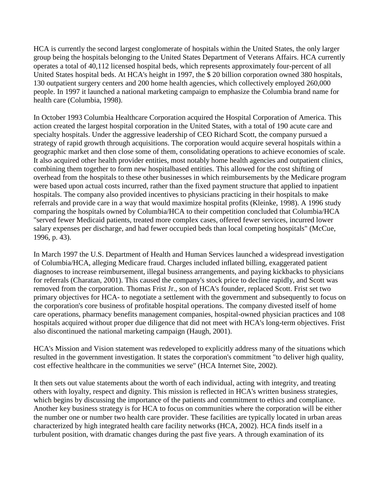HCA is currently the second largest conglomerate of hospitals within the United States, the only larger group being the hospitals belonging to the United States Department of Veterans Affairs. HCA currently operates a total of 40,112 licensed hospital beds, which represents approximately four-percent of all United States hospital beds. At HCA's height in 1997, the \$ 20 billion corporation owned 380 hospitals, 130 outpatient surgery centers and 200 home health agencies, which collectively employed 260,000 people. In 1997 it launched a national marketing campaign to emphasize the Columbia brand name for health care (Columbia, 1998).

In October 1993 Columbia Healthcare Corporation acquired the Hospital Corporation of America. This action created the largest hospital corporation in the United States, with a total of 190 acute care and specialty hospitals. Under the aggressive leadership of CEO Richard Scott, the company pursued a strategy of rapid growth through acquisitions. The corporation would acquire several hospitals within a geographic market and then close some of them, consolidating operations to achieve economies of scale. It also acquired other health provider entities, most notably home health agencies and outpatient clinics, combining them together to form new hospitalbased entities. This allowed for the cost shifting of overhead from the hospitals to these other businesses in which reimbursements by the Medicare program were based upon actual costs incurred, rather than the fixed payment structure that applied to inpatient hospitals. The company also provided incentives to physicians practicing in their hospitals to make referrals and provide care in a way that would maximize hospital profits (Kleinke, 1998). A 1996 study comparing the hospitals owned by Columbia/HCA to their competition concluded that Columbia/HCA "served fewer Medicaid patients, treated more complex cases, offered fewer services, incurred lower salary expenses per discharge, and had fewer occupied beds than local competing hospitals" (McCue, 1996, p. 43).

In March 1997 the U.S. Department of Health and Human Services launched a widespread investigation of Columbia/HCA, alleging Medicare fraud. Charges included inflated billing, exaggerated patient diagnoses to increase reimbursement, illegal business arrangements, and paying kickbacks to physicians for referrals (Charatan, 2001). This caused the company's stock price to decline rapidly, and Scott was removed from the corporation. Thomas Frist Jr., son of HCA's founder, replaced Scott. Frist set two primary objectives for HCA- to negotiate a settlement with the government and subsequently to focus on the corporation's core business of profitable hospital operations. The company divested itself of home care operations, pharmacy benefits management companies, hospital-owned physician practices and 108 hospitals acquired without proper due diligence that did not meet with HCA's long-term objectives. Frist also discontinued the national marketing campaign (Haugh, 2001).

HCA's Mission and Vision statement was redeveloped to explicitly address many of the situations which resulted in the government investigation. It states the corporation's commitment "to deliver high quality, cost effective healthcare in the communities we serve" (HCA Internet Site, 2002).

It then sets out value statements about the worth of each individual, acting with integrity, and treating others with loyalty, respect and dignity. This mission is reflected in HCA's written business strategies, which begins by discussing the importance of the patients and commitment to ethics and compliance. Another key business strategy is for HCA to focus on communities where the corporation will be either the number one or number two health care provider. These facilities are typically located in urban areas characterized by high integrated health care facility networks (HCA, 2002). HCA finds itself in a turbulent position, with dramatic changes during the past five years. A through examination of its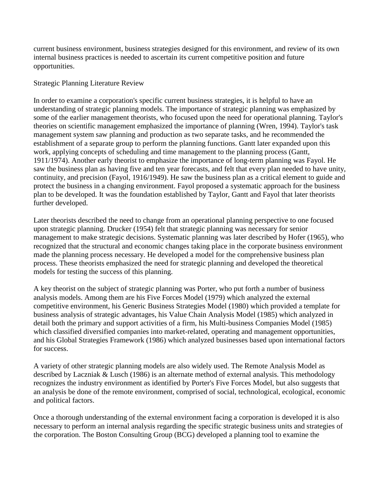current business environment, business strategies designed for this environment, and review of its own internal business practices is needed to ascertain its current competitive position and future opportunities.

#### Strategic Planning Literature Review

In order to examine a corporation's specific current business strategies, it is helpful to have an understanding of strategic planning models. The importance of strategic planning was emphasized by some of the earlier management theorists, who focused upon the need for operational planning. Taylor's theories on scientific management emphasized the importance of planning (Wren, 1994). Taylor's task management system saw planning and production as two separate tasks, and he recommended the establishment of a separate group to perform the planning functions. Gantt later expanded upon this work, applying concepts of scheduling and time management to the planning process (Gantt, 1911/1974). Another early theorist to emphasize the importance of long-term planning was Fayol. He saw the business plan as having five and ten year forecasts, and felt that every plan needed to have unity, continuity, and precision (Fayol, 1916/1949). He saw the business plan as a critical element to guide and protect the business in a changing environment. Fayol proposed a systematic approach for the business plan to be developed. It was the foundation established by Taylor, Gantt and Fayol that later theorists further developed.

Later theorists described the need to change from an operational planning perspective to one focused upon strategic planning. Drucker (1954) felt that strategic planning was necessary for senior management to make strategic decisions. Systematic planning was later described by Hofer (1965), who recognized that the structural and economic changes taking place in the corporate business environment made the planning process necessary. He developed a model for the comprehensive business plan process. These theorists emphasized the need for strategic planning and developed the theoretical models for testing the success of this planning.

A key theorist on the subject of strategic planning was Porter, who put forth a number of business analysis models. Among them are his Five Forces Model (1979) which analyzed the external competitive environment, his Generic Business Strategies Model (1980) which provided a template for business analysis of strategic advantages, his Value Chain Analysis Model (1985) which analyzed in detail both the primary and support activities of a firm, his Multi-business Companies Model (1985) which classified diversified companies into market-related, operating and management opportunities, and his Global Strategies Framework (1986) which analyzed businesses based upon international factors for success.

A variety of other strategic planning models are also widely used. The Remote Analysis Model as described by Laczniak & Lusch (1986) is an alternate method of external analysis. This methodology recognizes the industry environment as identified by Porter's Five Forces Model, but also suggests that an analysis be done of the remote environment, comprised of social, technological, ecological, economic and political factors.

Once a thorough understanding of the external environment facing a corporation is developed it is also necessary to perform an internal analysis regarding the specific strategic business units and strategies of the corporation. The Boston Consulting Group (BCG) developed a planning tool to examine the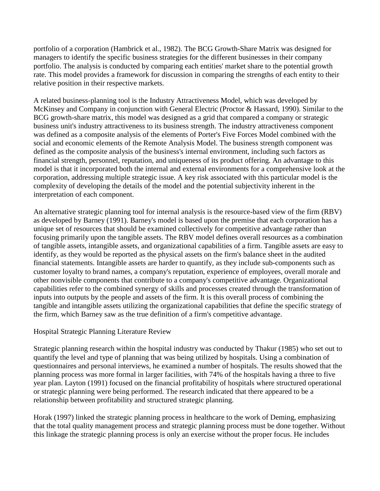portfolio of a corporation (Hambrick et al., 1982). The BCG Growth-Share Matrix was designed for managers to identify the specific business strategies for the different businesses in their company portfolio. The analysis is conducted by comparing each entities' market share to the potential growth rate. This model provides a framework for discussion in comparing the strengths of each entity to their relative position in their respective markets.

A related business-planning tool is the Industry Attractiveness Model, which was developed by McKinsey and Company in conjunction with General Electric (Proctor & Hassard, 1990). Similar to the BCG growth-share matrix, this model was designed as a grid that compared a company or strategic business unit's industry attractiveness to its business strength. The industry attractiveness component was defined as a composite analysis of the elements of Porter's Five Forces Model combined with the social and economic elements of the Remote Analysis Model. The business strength component was defined as the composite analysis of the business's internal environment, including such factors as financial strength, personnel, reputation, and uniqueness of its product offering. An advantage to this model is that it incorporated both the internal and external environments for a comprehensive look at the corporation, addressing multiple strategic issue. A key risk associated with this particular model is the complexity of developing the details of the model and the potential subjectivity inherent in the interpretation of each component.

An alternative strategic planning tool for internal analysis is the resource-based view of the firm (RBV) as developed by Barney (1991). Barney's model is based upon the premise that each corporation has a unique set of resources that should be examined collectively for competitive advantage rather than focusing primarily upon the tangible assets. The RBV model defines overall resources as a combination of tangible assets, intangible assets, and organizational capabilities of a firm. Tangible assets are easy to identify, as they would be reported as the physical assets on the firm's balance sheet in the audited financial statements. Intangible assets are harder to quantify, as they include sub-components such as customer loyalty to brand names, a company's reputation, experience of employees, overall morale and other nonvisible components that contribute to a company's competitive advantage. Organizational capabilities refer to the combined synergy of skills and processes created through the transformation of inputs into outputs by the people and assets of the firm. It is this overall process of combining the tangible and intangible assets utilizing the organizational capabilities that define the specific strategy of the firm, which Barney saw as the true definition of a firm's competitive advantage.

# Hospital Strategic Planning Literature Review

Strategic planning research within the hospital industry was conducted by Thakur (1985) who set out to quantify the level and type of planning that was being utilized by hospitals. Using a combination of questionnaires and personal interviews, he examined a number of hospitals. The results showed that the planning process was more formal in larger facilities, with 74% of the hospitals having a three to five year plan. Layton (1991) focused on the financial profitability of hospitals where structured operational or strategic planning were being performed. The research indicated that there appeared to be a relationship between profitability and structured strategic planning.

Horak (1997) linked the strategic planning process in healthcare to the work of Deming, emphasizing that the total quality management process and strategic planning process must be done together. Without this linkage the strategic planning process is only an exercise without the proper focus. He includes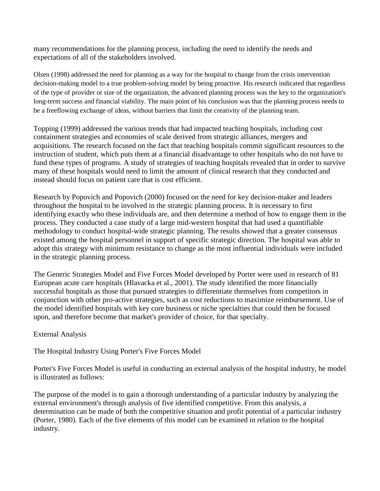many recommendations for the planning process, including the need to identify the needs and expectations of all of the stakeholders involved.

Olsen (1998) addressed the need for planning as a way for the hospital to change from the crisis intervention decision-making model to a true problem-solving model by being proactive. His research indicated that regardless of the type of provider or size of the organization, the advanced planning process was the key to the organization's long-term success and financial viability. The main point of his conclusion was that the planning process needs to be a freeflowing exchange of ideas, without barriers that limit the creativity of the planning team.

Topping (1999) addressed the various trends that had impacted teaching hospitals, including cost containment strategies and economies of scale derived from strategic alliances, mergers and acquisitions. The research focused on the fact that teaching hospitals commit significant resources to the instruction of student, which puts them at a financial disadvantage to other hospitals who do not have to fund these types of programs. A study of strategies of teaching hospitals revealed that in order to survive many of these hospitals would need to limit the amount of clinical research that they conducted and instead should focus on patient care that is cost efficient.

Research by Popovich and Popovich (2000) focused on the need for key decision-maker and leaders throughout the hospital to be involved in the strategic planning process. It is necessary to first identifying exactly who these individuals are, and then determine a method of how to engage them in the process. They conducted a case study of a large mid-western hospital that had used a quantifiable methodology to conduct hospital-wide strategic planning. The results showed that a greater consensus existed among the hospital personnel in support of specific strategic direction. The hospital was able to adopt this strategy with minimum resistance to change as the most influential individuals were included in the strategic planning process.

The Generic Strategies Model and Five Forces Model developed by Porter were used in research of 81 European acute care hospitals (Hlavacka et al., 2001). The study identified the more financially successful hospitals as those that pursued strategies to differentiate themselves from competitors in conjunction with other pro-active strategies, such as cost reductions to maximize reimbursement. Use of the model identified hospitals with key core business or niche specialties that could then be focused upon, and therefore become that market's provider of choice, for that specialty.

# External Analysis

The Hospital Industry Using Porter's Five Forces Model

Porter's Five Forces Model is useful in conducting an external analysis of the hospital industry, he model is illustrated as follows:

The purpose of the model is to gain a thorough understanding of a particular industry by analyzing the external environment's through analysis of five identified competitive. From this analysis, a determination can be made of both the competitive situation and profit potential of a particular industry (Porter, 1980). Each of the five elements of this model can be examined in relation to the hospital industry.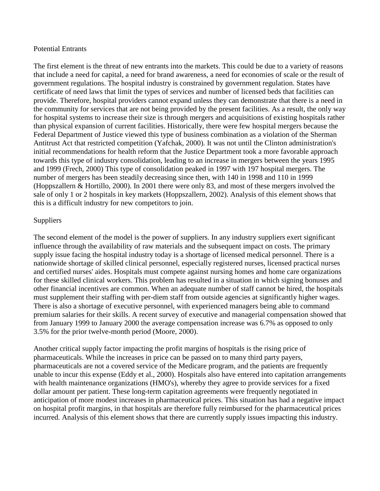#### Potential Entrants

The first element is the threat of new entrants into the markets. This could be due to a variety of reasons that include a need for capital, a need for brand awareness, a need for economies of scale or the result of government regulations. The hospital industry is constrained by government regulation. States have certificate of need laws that limit the types of services and number of licensed beds that facilities can provide. Therefore, hospital providers cannot expand unless they can demonstrate that there is a need in the community for services that are not being provided by the present facilities. As a result, the only way for hospital systems to increase their size is through mergers and acquisitions of existing hospitals rather than physical expansion of current facilities. Historically, there were few hospital mergers because the Federal Department of Justice viewed this type of business combination as a violation of the Sherman Antitrust Act that restricted competition (Yafchak, 2000). It was not until the Clinton administration's initial recommendations for health reform that the Justice Department took a more favorable approach towards this type of industry consolidation, leading to an increase in mergers between the years 1995 and 1999 (Frech, 2000) This type of consolidation peaked in 1997 with 197 hospital mergers. The number of mergers has been steadily decreasing since then, with 140 in 1998 and 110 in 1999 (Hoppszallern & Hortillo, 2000). In 2001 there were only 83, and most of these mergers involved the sale of only 1 or 2 hospitals in key markets (Hoppszallern, 2002). Analysis of this element shows that this is a difficult industry for new competitors to join.

#### Suppliers

The second element of the model is the power of suppliers. In any industry suppliers exert significant influence through the availability of raw materials and the subsequent impact on costs. The primary supply issue facing the hospital industry today is a shortage of licensed medical personnel. There is a nationwide shortage of skilled clinical personnel, especially registered nurses, licensed practical nurses and certified nurses' aides. Hospitals must compete against nursing homes and home care organizations for these skilled clinical workers. This problem has resulted in a situation in which signing bonuses and other financial incentives are common. When an adequate number of staff cannot be hired, the hospitals must supplement their staffing with per-diem staff from outside agencies at significantly higher wages. There is also a shortage of executive personnel, with experienced managers being able to command premium salaries for their skills. A recent survey of executive and managerial compensation showed that from January 1999 to January 2000 the average compensation increase was 6.7% as opposed to only 3.5% for the prior twelve-month period (Moore, 2000).

Another critical supply factor impacting the profit margins of hospitals is the rising price of pharmaceuticals. While the increases in price can be passed on to many third party payers, pharmaceuticals are not a covered service of the Medicare program, and the patients are frequently unable to incur this expense (Eddy et al., 2000). Hospitals also have entered into capitation arrangements with health maintenance organizations (HMO's), whereby they agree to provide services for a fixed dollar amount per patient. These long-term capitation agreements were frequently negotiated in anticipation of more modest increases in pharmaceutical prices. This situation has had a negative impact on hospital profit margins, in that hospitals are therefore fully reimbursed for the pharmaceutical prices incurred. Analysis of this element shows that there are currently supply issues impacting this industry.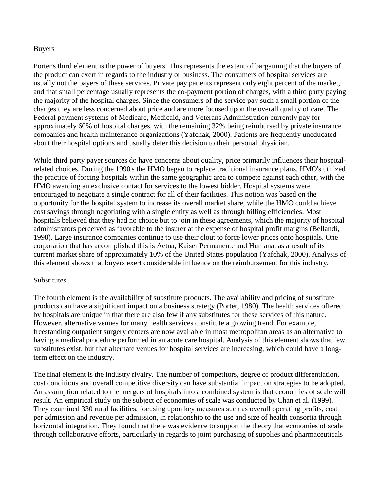#### Buyers

Porter's third element is the power of buyers. This represents the extent of bargaining that the buyers of the product can exert in regards to the industry or business. The consumers of hospital services are usually not the payers of these services. Private pay patients represent only eight percent of the market, and that small percentage usually represents the co-payment portion of charges, with a third party paying the majority of the hospital charges. Since the consumers of the service pay such a small portion of the charges they are less concerned about price and are more focused upon the overall quality of care. The Federal payment systems of Medicare, Medicaid, and Veterans Administration currently pay for approximately 60% of hospital charges, with the remaining 32% being reimbursed by private insurance companies and health maintenance organizations (Yafchak, 2000). Patients are frequently uneducated about their hospital options and usually defer this decision to their personal physician.

While third party payer sources do have concerns about quality, price primarily influences their hospitalrelated choices. During the 1990's the HMO began to replace traditional insurance plans. HMO's utilized the practice of forcing hospitals within the same geographic area to compete against each other, with the HMO awarding an exclusive contact for services to the lowest bidder. Hospital systems were encouraged to negotiate a single contract for all of their facilities. This notion was based on the opportunity for the hospital system to increase its overall market share, while the HMO could achieve cost savings through negotiating with a single entity as well as through billing efficiencies. Most hospitals believed that they had no choice but to join in these agreements, which the majority of hospital administrators perceived as favorable to the insurer at the expense of hospital profit margins (Bellandi, 1998). Large insurance companies continue to use their clout to force lower prices onto hospitals. One corporation that has accomplished this is Aetna, Kaiser Permanente and Humana, as a result of its current market share of approximately 10% of the United States population (Yafchak, 2000). Analysis of this element shows that buyers exert considerable influence on the reimbursement for this industry.

#### **Substitutes**

The fourth element is the availability of substitute products. The availability and pricing of substitute products can have a significant impact on a business strategy (Porter, 1980). The health services offered by hospitals are unique in that there are also few if any substitutes for these services of this nature. However, alternative venues for many health services constitute a growing trend. For example, freestanding outpatient surgery centers are now available in most metropolitan areas as an alternative to having a medical procedure performed in an acute care hospital. Analysis of this element shows that few substitutes exist, but that alternate venues for hospital services are increasing, which could have a longterm effect on the industry.

The final element is the industry rivalry. The number of competitors, degree of product differentiation, cost conditions and overall competitive diversity can have substantial impact on strategies to be adopted. An assumption related to the mergers of hospitals into a combined system is that economies of scale will result. An empirical study on the subject of economies of scale was conducted by Chan et al. (1999). They examined 330 rural facilities, focusing upon key measures such as overall operating profits, cost per admission and revenue per admission, in relationship to the use and size of health consortia through horizontal integration. They found that there was evidence to support the theory that economies of scale through collaborative efforts, particularly in regards to joint purchasing of supplies and pharmaceuticals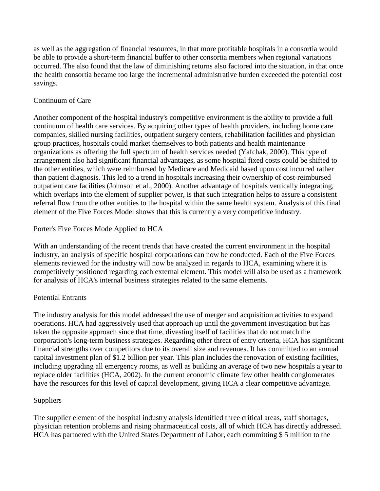as well as the aggregation of financial resources, in that more profitable hospitals in a consortia would be able to provide a short-term financial buffer to other consortia members when regional variations occurred. The also found that the law of diminishing returns also factored into the situation, in that once the health consortia became too large the incremental administrative burden exceeded the potential cost savings.

# Continuum of Care

Another component of the hospital industry's competitive environment is the ability to provide a full continuum of health care services. By acquiring other types of health providers, including home care companies, skilled nursing facilities, outpatient surgery centers, rehabilitation facilities and physician group practices, hospitals could market themselves to both patients and health maintenance organizations as offering the full spectrum of health services needed (Yafchak, 2000). This type of arrangement also had significant financial advantages, as some hospital fixed costs could be shifted to the other entities, which were reimbursed by Medicare and Medicaid based upon cost incurred rather than patient diagnosis. This led to a trend in hospitals increasing their ownership of cost-reimbursed outpatient care facilities (Johnson et al., 2000). Another advantage of hospitals vertically integrating, which overlaps into the element of supplier power, is that such integration helps to assure a consistent referral flow from the other entities to the hospital within the same health system. Analysis of this final element of the Five Forces Model shows that this is currently a very competitive industry.

# Porter's Five Forces Mode Applied to HCA

With an understanding of the recent trends that have created the current environment in the hospital industry, an analysis of specific hospital corporations can now be conducted. Each of the Five Forces elements reviewed for the industry will now be analyzed in regards to HCA, examining where it is competitively positioned regarding each external element. This model will also be used as a framework for analysis of HCA's internal business strategies related to the same elements.

# Potential Entrants

The industry analysis for this model addressed the use of merger and acquisition activities to expand operations. HCA had aggressively used that approach up until the government investigation but has taken the opposite approach since that time, divesting itself of facilities that do not match the corporation's long-term business strategies. Regarding other threat of entry criteria, HCA has significant financial strengths over competitors due to its overall size and revenues. It has committed to an annual capital investment plan of \$1.2 billion per year. This plan includes the renovation of existing facilities, including upgrading all emergency rooms, as well as building an average of two new hospitals a year to replace older facilities (HCA, 2002). In the current economic climate few other health conglomerates have the resources for this level of capital development, giving HCA a clear competitive advantage.

# Suppliers

The supplier element of the hospital industry analysis identified three critical areas, staff shortages, physician retention problems and rising pharmaceutical costs, all of which HCA has directly addressed. HCA has partnered with the United States Department of Labor, each committing \$ 5 million to the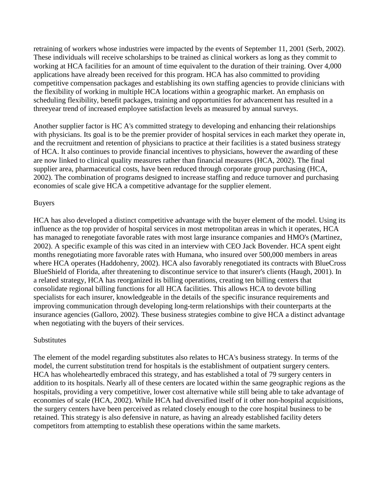retraining of workers whose industries were impacted by the events of September 11, 2001 (Serb, 2002). These individuals will receive scholarships to be trained as clinical workers as long as they commit to working at HCA facilities for an amount of time equivalent to the duration of their training. Over 4,000 applications have already been received for this program. HCA has also committed to providing competitive compensation packages and establishing its own staffing agencies to provide clinicians with the flexibility of working in multiple HCA locations within a geographic market. An emphasis on scheduling flexibility, benefit packages, training and opportunities for advancement has resulted in a threeyear trend of increased employee satisfaction levels as measured by annual surveys.

Another supplier factor is HC A's committed strategy to developing and enhancing their relationships with physicians. Its goal is to be the premier provider of hospital services in each market they operate in, and the recruitment and retention of physicians to practice at their facilities is a stated business strategy of HCA. It also continues to provide financial incentives to physicians, however the awarding of these are now linked to clinical quality measures rather than financial measures (HCA, 2002). The final supplier area, pharmaceutical costs, have been reduced through corporate group purchasing (HCA, 2002). The combination of programs designed to increase staffing and reduce turnover and purchasing economies of scale give HCA a competitive advantage for the supplier element.

#### Buyers

HCA has also developed a distinct competitive advantage with the buyer element of the model. Using its influence as the top provider of hospital services in most metropolitan areas in which it operates, HCA has managed to renegotiate favorable rates with most large insurance companies and HMO's (Martinez, 2002). A specific example of this was cited in an interview with CEO Jack Bovender. HCA spent eight months renegotiating more favorable rates with Humana, who insured over 500,000 members in areas where HCA operates (Haddohenry, 2002). HCA also favorably renegotiated its contracts with BlueCross BlueShield of Florida, after threatening to discontinue service to that insurer's clients (Haugh, 2001). In a related strategy, HCA has reorganized its billing operations, creating ten billing centers that consolidate regional billing functions for all HCA facilities. This allows HCA to devote billing specialists for each insurer, knowledgeable in the details of the specific insurance requirements and improving communication through developing long-term relationships with their counterparts at the insurance agencies (Galloro, 2002). These business strategies combine to give HCA a distinct advantage when negotiating with the buyers of their services.

#### **Substitutes**

The element of the model regarding substitutes also relates to HCA's business strategy. In terms of the model, the current substitution trend for hospitals is the establishment of outpatient surgery centers. HCA has wholeheartedly embraced this strategy, and has established a total of 79 surgery centers in addition to its hospitals. Nearly all of these centers are located within the same geographic regions as the hospitals, providing a very competitive, lower cost alternative while still being able to take advantage of economies of scale (HCA, 2002). While HCA had diversified itself of it other non-hospital acquisitions, the surgery centers have been perceived as related closely enough to the core hospital business to be retained. This strategy is also defensive in nature, as having an already established facility deters competitors from attempting to establish these operations within the same markets.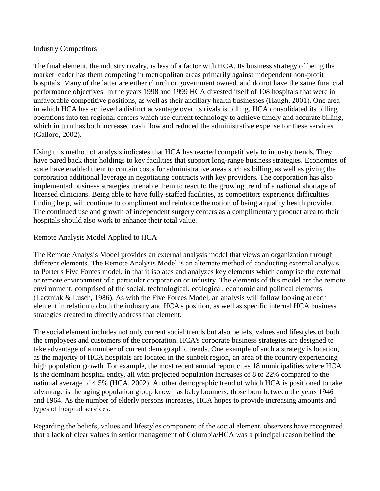#### Industry Competitors

The final element, the industry rivalry, is less of a factor with HCA. Its business strategy of being the market leader has them competing in metropolitan areas primarily against independent non-profit hospitals. Many of the latter are either church or government owned, and do not have the same financial performance objectives. In the years 1998 and 1999 HCA divested itself of 108 hospitals that were in unfavorable competitive positions, as well as their ancillary health businesses (Haugh, 2001). One area in which HCA has achieved a distinct advantage over its rivals is billing. HCA consolidated its billing operations into ten regional centers which use current technology to achieve timely and accurate billing, which in turn has both increased cash flow and reduced the administrative expense for these services (Galloro, 2002).

Using this method of analysis indicates that HCA has reacted competitively to industry trends. They have pared back their holdings to key facilities that support long-range business strategies. Economies of scale have enabled them to contain costs for administrative areas such as billing, as well as giving the corporation additional leverage in negotiating contracts with key providers. The corporation has also implemented business strategies to enable them to react to the growing trend of a national shortage of licensed clinicians. Being able to have fully-staffed facilities, as competitors experience difficulties finding help, will continue to compliment and reinforce the notion of being a quality health provider. The continued use and growth of independent surgery centers as a complimentary product area to their hospitals should also work to enhance their total value.

#### Remote Analysis Model Applied to HCA

The Remote Analysis Model provides an external analysis model that views an organization through different elements. The Remote Analysis Model is an alternate method of conducting external analysis to Porter's Five Forces model, in that it isolates and analyzes key elements which comprise the external or remote environment of a particular corporation or industry. The elements of this model are the remote environment, comprised of the social, technological, ecological, economic and political elements (Laczniak & Lusch, 1986). As with the Five Forces Model, an analysis will follow looking at each element in relation to both the industry and HCA's position, as well as specific internal HCA business strategies created to directly address that element.

The social element includes not only current social trends but also beliefs, values and lifestyles of both the employees and customers of the corporation. HCA's corporate business strategies are designed to take advantage of a number of current demographic trends. One example of such a strategy is location, as the majority of HCA hospitals are located in the sunbelt region, an area of the country experiencing high population growth. For example, the most recent annual report cites 18 municipalities where HCA is the dominant hospital entity, all with projected population increases of 8 to 22% compared to the national average of 4.5% (HCA, 2002). Another demographic trend of which HCA is positioned to take advantage is the aging population group known as baby boomers, those born between the years 1946 and 1964. As the number of elderly persons increases, HCA hopes to provide increasing amounts and types of hospital services.

Regarding the beliefs, values and lifestyles component of the social element, observers have recognized that a lack of clear values in senior management of Columbia/HCA was a principal reason behind the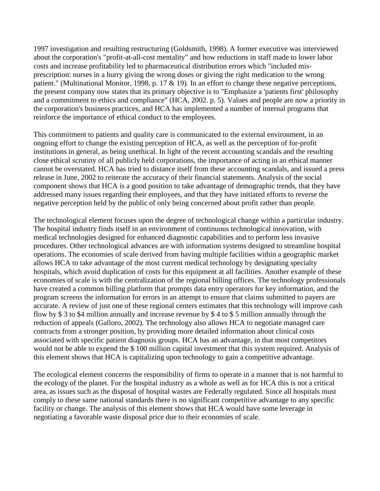1997 investigation and resulting restructuring (Goldsmith, 1998). A former executive was interviewed about the corporation's "profit-at-all-cost mentality" and how reductions in staff made to lower labor costs and increase profitability led to pharmaceutical distribution errors which "included misprescription: nurses in a hurry giving the wrong doses or giving the right medication to the wrong patient." (Multinational Monitor, 1998, p. 17  $&$  19). In an effort to change these negative perceptions, the present company now states that its primary objective is to "Emphasize a 'patients first' philosophy and a commitment to ethics and compliance" (HCA, 2002. p. 5). Values and people are now a priority in the corporation's business practices, and HCA has implemented a number of internal programs that reinforce the importance of ethical conduct to the employees.

This commitment to patients and quality care is communicated to the external environment, in an ongoing effort to change the existing perception of HCA, as well as the perception of for-profit institutions in general, as being unethical. In light of the recent accounting scandals and the resulting close ethical scrutiny of all publicly held corporations, the importance of acting in an ethical manner cannot be overstated. HCA has tried to distance itself from these accounting scandals, and issued a press release in June, 2002 to reiterate the accuracy of their financial statements. Analysis of the social component shows that HCA is a good position to take advantage of demographic trends, that they have addressed many issues regarding their employees, and that they have initiated efforts to reverse the negative perception held by the public of only being concerned about profit rather than people.

The technological element focuses upon the degree of technological change within a particular industry. The hospital industry finds itself in an environment of continuous technological innovation, with medical technologies designed for enhanced diagnostic capabilities and to perform less invasive procedures. Other technological advances are with information systems designed to streamline hospital operations. The economies of scale derived from having multiple facilities within a geographic market allows HCA to take advantage of the most current medical technology by designating specialty hospitals, which avoid duplication of costs for this equipment at all facilities. Another example of these economies of scale is with the centralization of the regional billing offices. The technology professionals have created a common billing platform that prompts data entry operators for key information, and the program screens the information for errors in an attempt to ensure that claims submitted to payers are accurate. A review of just one of these regional centers estimates that this technology will improve cash flow by \$ 3 to \$4 million annually and increase revenue by \$ 4 to \$ 5 million annually through the reduction of appeals (Galloro, 2002). The technology also allows HCA to negotiate managed care contracts from a stronger position, by providing more detailed information about clinical costs associated with specific patient diagnosis groups. HCA has an advantage, in that most competitors would not be able to expend the \$ 100 million capital investment that this system required. Analysis of this element shows that HCA is capitalizing upon technology to gain a competitive advantage.

The ecological element concerns the responsibility of firms to operate in a manner that is not harmful to the ecology of the planet. For the hospital industry as a whole as well as for HCA this is not a critical area, as issues such as the disposal of hospital wastes are Federally regulated. Since all hospitals must comply to these same national standards there is no significant competitive advantage to any specific facility or change. The analysis of this element shows that HCA would have some leverage in negotiating a favorable waste disposal price due to their economies of scale.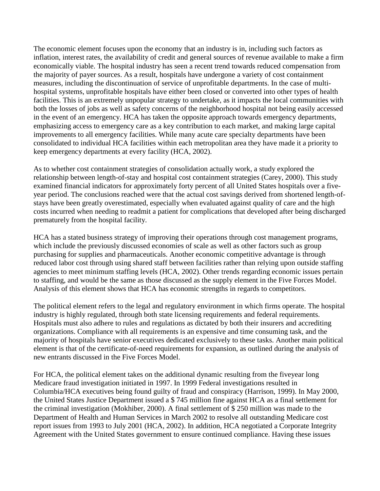The economic element focuses upon the economy that an industry is in, including such factors as inflation, interest rates, the availability of credit and general sources of revenue available to make a firm economically viable. The hospital industry has seen a recent trend towards reduced compensation from the majority of payer sources. As a result, hospitals have undergone a variety of cost containment measures, including the discontinuation of service of unprofitable departments. In the case of multihospital systems, unprofitable hospitals have either been closed or converted into other types of health facilities. This is an extremely unpopular strategy to undertake, as it impacts the local communities with both the losses of jobs as well as safety concerns of the neighborhood hospital not being easily accessed in the event of an emergency. HCA has taken the opposite approach towards emergency departments, emphasizing access to emergency care as a key contribution to each market, and making large capital improvements to all emergency facilities. While many acute care specialty departments have been consolidated to individual HCA facilities within each metropolitan area they have made it a priority to keep emergency departments at every facility (HCA, 2002).

As to whether cost containment strategies of consolidation actually work, a study explored the relationship between length-of-stay and hospital cost containment strategies (Carey, 2000). This study examined financial indicators for approximately forty percent of all United States hospitals over a fiveyear period. The conclusions reached were that the actual cost savings derived from shortened length-ofstays have been greatly overestimated, especially when evaluated against quality of care and the high costs incurred when needing to readmit a patient for complications that developed after being discharged prematurely from the hospital facility.

HCA has a stated business strategy of improving their operations through cost management programs, which include the previously discussed economies of scale as well as other factors such as group purchasing for supplies and pharmaceuticals. Another economic competitive advantage is through reduced labor cost through using shared staff between facilities rather than relying upon outside staffing agencies to meet minimum staffing levels (HCA, 2002). Other trends regarding economic issues pertain to staffing, and would be the same as those discussed as the supply element in the Five Forces Model. Analysis of this element shows that HCA has economic strengths in regards to competitors.

The political element refers to the legal and regulatory environment in which firms operate. The hospital industry is highly regulated, through both state licensing requirements and federal requirements. Hospitals must also adhere to rules and regulations as dictated by both their insurers and accrediting organizations. Compliance with all requirements is an expensive and time consuming task, and the majority of hospitals have senior executives dedicated exclusively to these tasks. Another main political element is that of the certificate-of-need requirements for expansion, as outlined during the analysis of new entrants discussed in the Five Forces Model.

For HCA, the political element takes on the additional dynamic resulting from the fiveyear long Medicare fraud investigation initiated in 1997. In 1999 Federal investigations resulted in Columbia/HCA executives being found guilty of fraud and conspiracy (Harrison, 1999). In May 2000, the United States Justice Department issued a \$ 745 million fine against HCA as a final settlement for the criminal investigation (Mokhiber, 2000). A final settlement of \$ 250 million was made to the Department of Health and Human Services in March 2002 to resolve all outstanding Medicare cost report issues from 1993 to July 2001 (HCA, 2002). In addition, HCA negotiated a Corporate Integrity Agreement with the United States government to ensure continued compliance. Having these issues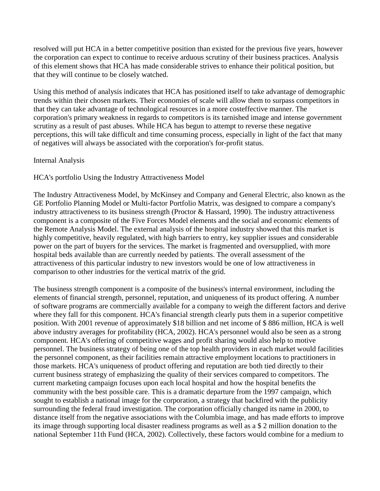resolved will put HCA in a better competitive position than existed for the previous five years, however the corporation can expect to continue to receive arduous scrutiny of their business practices. Analysis of this element shows that HCA has made considerable strives to enhance their political position, but that they will continue to be closely watched.

Using this method of analysis indicates that HCA has positioned itself to take advantage of demographic trends within their chosen markets. Their economies of scale will allow them to surpass competitors in that they can take advantage of technological resources in a more costeffective manner. The corporation's primary weakness in regards to competitors is its tarnished image and intense government scrutiny as a result of past abuses. While HCA has begun to attempt to reverse these negative perceptions, this will take difficult and time consuming process, especially in light of the fact that many of negatives will always be associated with the corporation's for-profit status.

#### Internal Analysis

# HCA's portfolio Using the Industry Attractiveness Model

The Industry Attractiveness Model, by McKinsey and Company and General Electric, also known as the GE Portfolio Planning Model or Multi-factor Portfolio Matrix, was designed to compare a company's industry attractiveness to its business strength (Proctor & Hassard, 1990). The industry attractiveness component is a composite of the Five Forces Model elements and the social and economic elements of the Remote Analysis Model. The external analysis of the hospital industry showed that this market is highly competitive, heavily regulated, with high barriers to entry, key supplier issues and considerable power on the part of buyers for the services. The market is fragmented and oversupplied, with more hospital beds available than are currently needed by patients. The overall assessment of the attractiveness of this particular industry to new investors would be one of low attractiveness in comparison to other industries for the vertical matrix of the grid.

The business strength component is a composite of the business's internal environment, including the elements of financial strength, personnel, reputation, and uniqueness of its product offering. A number of software programs are commercially available for a company to weigh the different factors and derive where they fall for this component. HCA's financial strength clearly puts them in a superior competitive position. With 2001 revenue of approximately \$18 billion and net income of \$ 886 million, HCA is well above industry averages for profitability (HCA, 2002). HCA's personnel would also be seen as a strong component. HCA's offering of competitive wages and profit sharing would also help to motive personnel. The business strategy of being one of the top health providers in each market would facilities the personnel component, as their facilities remain attractive employment locations to practitioners in those markets. HCA's uniqueness of product offering and reputation are both tied directly to their current business strategy of emphasizing the quality of their services compared to competitors. The current marketing campaign focuses upon each local hospital and how the hospital benefits the community with the best possible care. This is a dramatic departure from the 1997 campaign, which sought to establish a national image for the corporation, a strategy that backfired with the publicity surrounding the federal fraud investigation. The corporation officially changed its name in 2000, to distance itself from the negative associations with the Columbia image, and has made efforts to improve its image through supporting local disaster readiness programs as well as a \$ 2 million donation to the national September 11th Fund (HCA, 2002). Collectively, these factors would combine for a medium to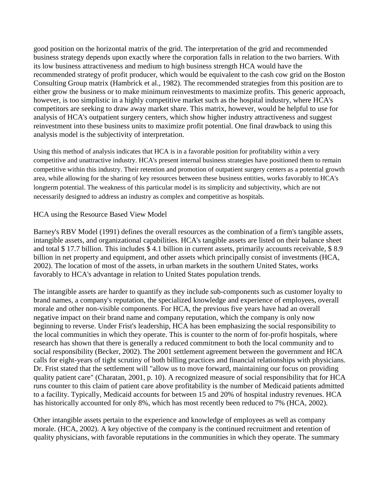good position on the horizontal matrix of the grid. The interpretation of the grid and recommended business strategy depends upon exactly where the corporation falls in relation to the two barriers. With its low business attractiveness and medium to high business strength HCA would have the recommended strategy of profit producer, which would be equivalent to the cash cow grid on the Boston Consulting Group matrix (Hambrick et al., 1982). The recommended strategies from this position are to either grow the business or to make minimum reinvestments to maximize profits. This generic approach, however, is too simplistic in a highly competitive market such as the hospital industry, where HCA's competitors are seeking to draw away market share. This matrix, however, would be helpful to use for analysis of HCA's outpatient surgery centers, which show higher industry attractiveness and suggest reinvestment into these business units to maximize profit potential. One final drawback to using this analysis model is the subjectivity of interpretation.

Using this method of analysis indicates that HCA is in a favorable position for profitability within a very competitive and unattractive industry. HCA's present internal business strategies have positioned them to remain competitive within this industry. Their retention and promotion of outpatient surgery centers as a potential growth area, while allowing for the sharing of key resources between these business entities, works favorably to HCA's longterm potential. The weakness of this particular model is its simplicity and subjectivity, which are not necessarily designed to address an industry as complex and competitive as hospitals.

#### HCA using the Resource Based View Model

Barney's RBV Model (1991) defines the overall resources as the combination of a firm's tangible assets, intangible assets, and organizational capabilities. HCA's tangible assets are listed on their balance sheet and total \$ 17.7 billion. This includes \$ 4.1 billion in current assets, primarily accounts receivable, \$ 8.9 billion in net property and equipment, and other assets which principally consist of investments (HCA, 2002). The location of most of the assets, in urban markets in the southern United States, works favorably to HCA's advantage in relation to United States population trends.

The intangible assets are harder to quantify as they include sub-components such as customer loyalty to brand names, a company's reputation, the specialized knowledge and experience of employees, overall morale and other non-visible components. For HCA, the previous five years have had an overall negative impact on their brand name and company reputation, which the company is only now beginning to reverse. Under Frist's leadership, HCA has been emphasizing the social responsibility to the local communities in which they operate. This is counter to the norm of for-profit hospitals, where research has shown that there is generally a reduced commitment to both the local community and to social responsibility (Becker, 2002). The 2001 settlement agreement between the government and HCA calls for eight-years of tight scrutiny of both billing practices and financial relationships with physicians. Dr. Frist stated that the settlement will "allow us to move forward, maintaining our focus on providing quality patient care" (Charatan, 2001, p. 10). A recognized measure of social responsibility that for HCA runs counter to this claim of patient care above profitability is the number of Medicaid patients admitted to a facility. Typically, Medicaid accounts for between 15 and 20% of hospital industry revenues. HCA has historically accounted for only 8%, which has most recently been reduced to 7% (HCA, 2002).

Other intangible assets pertain to the experience and knowledge of employees as well as company morale. (HCA, 2002). A key objective of the company is the continued recruitment and retention of quality physicians, with favorable reputations in the communities in which they operate. The summary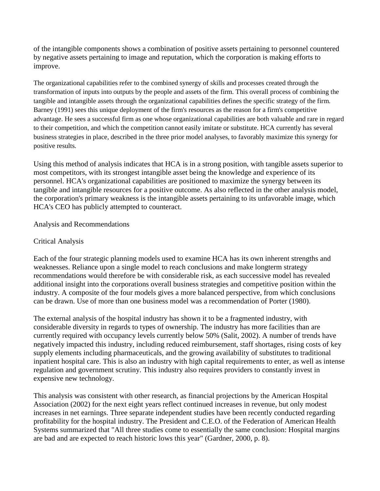of the intangible components shows a combination of positive assets pertaining to personnel countered by negative assets pertaining to image and reputation, which the corporation is making efforts to improve.

The organizational capabilities refer to the combined synergy of skills and processes created through the transformation of inputs into outputs by the people and assets of the firm. This overall process of combining the tangible and intangible assets through the organizational capabilities defines the specific strategy of the firm. Barney (1991) sees this unique deployment of the firm's resources as the reason for a firm's competitive advantage. He sees a successful firm as one whose organizational capabilities are both valuable and rare in regard to their competition, and which the competition cannot easily imitate or substitute. HCA currently has several business strategies in place, described in the three prior model analyses, to favorably maximize this synergy for positive results.

Using this method of analysis indicates that HCA is in a strong position, with tangible assets superior to most competitors, with its strongest intangible asset being the knowledge and experience of its personnel. HCA's organizational capabilities are positioned to maximize the synergy between its tangible and intangible resources for a positive outcome. As also reflected in the other analysis model, the corporation's primary weakness is the intangible assets pertaining to its unfavorable image, which HCA's CEO has publicly attempted to counteract.

#### Analysis and Recommendations

#### Critical Analysis

Each of the four strategic planning models used to examine HCA has its own inherent strengths and weaknesses. Reliance upon a single model to reach conclusions and make longterm strategy recommendations would therefore be with considerable risk, as each successive model has revealed additional insight into the corporations overall business strategies and competitive position within the industry. A composite of the four models gives a more balanced perspective, from which conclusions can be drawn. Use of more than one business model was a recommendation of Porter (1980).

The external analysis of the hospital industry has shown it to be a fragmented industry, with considerable diversity in regards to types of ownership. The industry has more facilities than are currently required with occupancy levels currently below 50% (Salit, 2002). A number of trends have negatively impacted this industry, including reduced reimbursement, staff shortages, rising costs of key supply elements including pharmaceuticals, and the growing availability of substitutes to traditional inpatient hospital care. This is also an industry with high capital requirements to enter, as well as intense regulation and government scrutiny. This industry also requires providers to constantly invest in expensive new technology.

This analysis was consistent with other research, as financial projections by the American Hospital Association (2002) for the next eight years reflect continued increases in revenue, but only modest increases in net earnings. Three separate independent studies have been recently conducted regarding profitability for the hospital industry. The President and C.E.O. of the Federation of American Health Systems summarized that "All three studies come to essentially the same conclusion: Hospital margins are bad and are expected to reach historic lows this year" (Gardner, 2000, p. 8).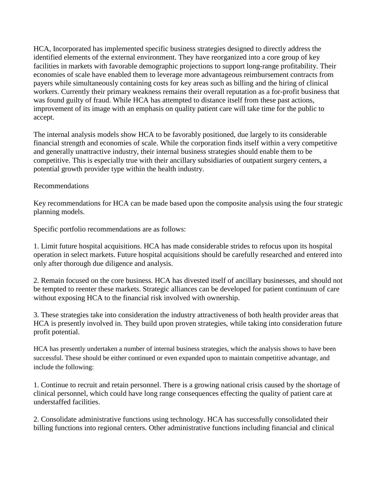HCA, Incorporated has implemented specific business strategies designed to directly address the identified elements of the external environment. They have reorganized into a core group of key facilities in markets with favorable demographic projections to support long-range profitability. Their economies of scale have enabled them to leverage more advantageous reimbursement contracts from payers while simultaneously containing costs for key areas such as billing and the hiring of clinical workers. Currently their primary weakness remains their overall reputation as a for-profit business that was found guilty of fraud. While HCA has attempted to distance itself from these past actions, improvement of its image with an emphasis on quality patient care will take time for the public to accept.

The internal analysis models show HCA to be favorably positioned, due largely to its considerable financial strength and economies of scale. While the corporation finds itself within a very competitive and generally unattractive industry, their internal business strategies should enable them to be competitive. This is especially true with their ancillary subsidiaries of outpatient surgery centers, a potential growth provider type within the health industry.

#### Recommendations

Key recommendations for HCA can be made based upon the composite analysis using the four strategic planning models.

Specific portfolio recommendations are as follows:

1. Limit future hospital acquisitions. HCA has made considerable strides to refocus upon its hospital operation in select markets. Future hospital acquisitions should be carefully researched and entered into only after thorough due diligence and analysis.

2. Remain focused on the core business. HCA has divested itself of ancillary businesses, and should not be tempted to reenter these markets. Strategic alliances can be developed for patient continuum of care without exposing HCA to the financial risk involved with ownership.

3. These strategies take into consideration the industry attractiveness of both health provider areas that HCA is presently involved in. They build upon proven strategies, while taking into consideration future profit potential.

HCA has presently undertaken a number of internal business strategies, which the analysis shows to have been successful. These should be either continued or even expanded upon to maintain competitive advantage, and include the following:

1. Continue to recruit and retain personnel. There is a growing national crisis caused by the shortage of clinical personnel, which could have long range consequences effecting the quality of patient care at understaffed facilities.

2. Consolidate administrative functions using technology. HCA has successfully consolidated their billing functions into regional centers. Other administrative functions including financial and clinical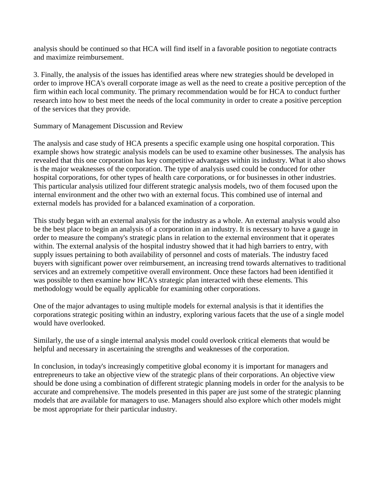analysis should be continued so that HCA will find itself in a favorable position to negotiate contracts and maximize reimbursement.

3. Finally, the analysis of the issues has identified areas where new strategies should be developed in order to improve HCA's overall corporate image as well as the need to create a positive perception of the firm within each local community. The primary recommendation would be for HCA to conduct further research into how to best meet the needs of the local community in order to create a positive perception of the services that they provide.

Summary of Management Discussion and Review

The analysis and case study of HCA presents a specific example using one hospital corporation. This example shows how strategic analysis models can be used to examine other businesses. The analysis has revealed that this one corporation has key competitive advantages within its industry. What it also shows is the major weaknesses of the corporation. The type of analysis used could be conduced for other hospital corporations, for other types of health care corporations, or for businesses in other industries. This particular analysis utilized four different strategic analysis models, two of them focused upon the internal environment and the other two with an external focus. This combined use of internal and external models has provided for a balanced examination of a corporation.

This study began with an external analysis for the industry as a whole. An external analysis would also be the best place to begin an analysis of a corporation in an industry. It is necessary to have a gauge in order to measure the company's strategic plans in relation to the external environment that it operates within. The external analysis of the hospital industry showed that it had high barriers to entry, with supply issues pertaining to both availability of personnel and costs of materials. The industry faced buyers with significant power over reimbursement, an increasing trend towards alternatives to traditional services and an extremely competitive overall environment. Once these factors had been identified it was possible to then examine how HCA's strategic plan interacted with these elements. This methodology would be equally applicable for examining other corporations.

One of the major advantages to using multiple models for external analysis is that it identifies the corporations strategic positing within an industry, exploring various facets that the use of a single model would have overlooked.

Similarly, the use of a single internal analysis model could overlook critical elements that would be helpful and necessary in ascertaining the strengths and weaknesses of the corporation.

In conclusion, in today's increasingly competitive global economy it is important for managers and entrepreneurs to take an objective view of the strategic plans of their corporations. An objective view should be done using a combination of different strategic planning models in order for the analysis to be accurate and comprehensive. The models presented in this paper are just some of the strategic planning models that are available for managers to use. Managers should also explore which other models might be most appropriate for their particular industry.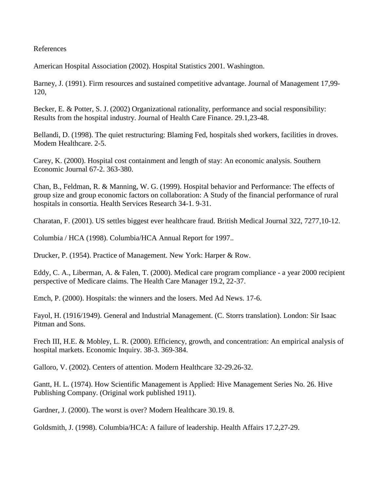References

American Hospital Association (2002). Hospital Statistics 2001. Washington.

Barney, J. (1991). Firm resources and sustained competitive advantage. Journal of Management 17,99- 120,

Becker, E. & Potter, S. J. (2002) Organizational rationality, performance and social responsibility: Results from the hospital industry. Journal of Health Care Finance. 29.1,23-48.

Bellandi, D. (1998). The quiet restructuring: Blaming Fed, hospitals shed workers, facilities in droves. Modem Healthcare. 2-5.

Carey, K. (2000). Hospital cost containment and length of stay: An economic analysis. Southern Economic Journal 67-2. 363-380.

Chan, B., Feldman, R. & Manning, W. G. (1999). Hospital behavior and Performance: The effects of group size and group economic factors on collaboration: A Study of the financial performance of rural hospitals in consortia. Health Services Research 34-1. 9-31.

Charatan, F. (2001). US settles biggest ever healthcare fraud. British Medical Journal 322, 7277,10-12.

Columbia / HCA (1998). Columbia/HCA Annual Report for 1997..

Drucker, P. (1954). Practice of Management. New York: Harper & Row.

Eddy, C. A., Liberman, A. & Falen, T. (2000). Medical care program compliance - a year 2000 recipient perspective of Medicare claims. The Health Care Manager 19.2, 22-37.

Emch, P. (2000). Hospitals: the winners and the losers. Med Ad News. 17-6.

Fayol, H. (1916/1949). General and Industrial Management. (C. Storrs translation). London: Sir Isaac Pitman and Sons.

Frech III, H.E. & Mobley, L. R. (2000). Efficiency, growth, and concentration: An empirical analysis of hospital markets. Economic Inquiry. 38-3. 369-384.

Galloro, V. (2002). Centers of attention. Modern Healthcare 32-29.26-32.

Gantt, H. L. (1974). How Scientific Management is Applied: Hive Management Series No. 26. Hive Publishing Company. (Original work published 1911).

Gardner, J. (2000). The worst is over? Modern Healthcare 30.19. 8.

Goldsmith, J. (1998). Columbia/HCA: A failure of leadership. Health Affairs 17.2,27-29.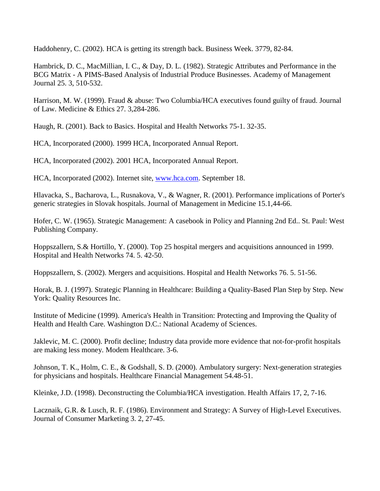Haddohenry, C. (2002). HCA is getting its strength back. Business Week. 3779, 82-84.

Hambrick, D. C., MacMillian, I. C., & Day, D. L. (1982). Strategic Attributes and Performance in the BCG Matrix - A PIMS-Based Analysis of Industrial Produce Businesses. Academy of Management Journal 25. 3, 510-532.

Harrison, M. W. (1999). Fraud & abuse: Two Columbia/HCA executives found guilty of fraud. Journal of Law. Medicine & Ethics 27. 3,284-286.

Haugh, R. (2001). Back to Basics. Hospital and Health Networks 75-1. 32-35.

HCA, Incorporated (2000). 1999 HCA, Incorporated Annual Report.

HCA, Incorporated (2002). 2001 HCA, Incorporated Annual Report.

HCA, Incorporated (2002). Internet site, [www.hca.com.](http://www.hca.com/) September 18.

Hlavacka, S., Bacharova, L., Rusnakova, V., & Wagner, R. (2001). Performance implications of Porter's generic strategies in Slovak hospitals. Journal of Management in Medicine 15.1,44-66.

Hofer, C. W. (1965). Strategic Management: A casebook in Policy and Planning 2nd Ed.. St. Paul: West Publishing Company.

Hoppszallern, S.& Hortillo, Y. (2000). Top 25 hospital mergers and acquisitions announced in 1999. Hospital and Health Networks 74. 5. 42-50.

Hoppszallern, S. (2002). Mergers and acquisitions. Hospital and Health Networks 76. 5. 51-56.

Horak, B. J. (1997). Strategic Planning in Healthcare: Building a Quality-Based Plan Step by Step. New York: Quality Resources Inc.

Institute of Medicine (1999). America's Health in Transition: Protecting and Improving the Quality of Health and Health Care. Washington D.C.: National Academy of Sciences.

Jaklevic, M. C. (2000). Profit decline; Industry data provide more evidence that not-for-profit hospitals are making less money. Modem Healthcare. 3-6.

Johnson, T. K., Holm, C. E., & Godshall, S. D. (2000). Ambulatory surgery: Next-generation strategies for physicians and hospitals. Healthcare Financial Management 54.48-51.

Kleinke, J.D. (1998). Deconstructing the Columbia/HCA investigation. Health Affairs 17, 2, 7-16.

Lacznaik, G.R. & Lusch, R. F. (1986). Environment and Strategy: A Survey of High-Level Executives. Journal of Consumer Marketing 3. 2, 27-45.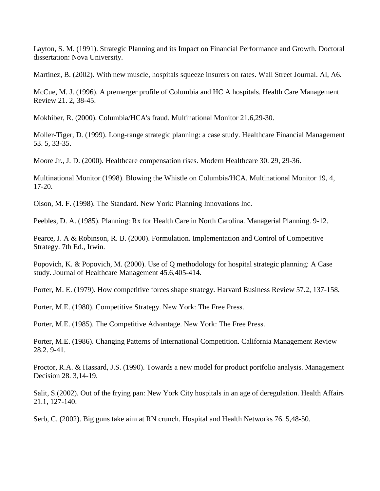Layton, S. M. (1991). Strategic Planning and its Impact on Financial Performance and Growth. Doctoral dissertation: Nova University.

Martinez, B. (2002). With new muscle, hospitals squeeze insurers on rates. Wall Street Journal. Al, A6.

McCue, M. J. (1996). A premerger profile of Columbia and HC A hospitals. Health Care Management Review 21. 2, 38-45.

Mokhiber, R. (2000). Columbia/HCA's fraud. Multinational Monitor 21.6,29-30.

Moller-Tiger, D. (1999). Long-range strategic planning: a case study. Healthcare Financial Management 53. 5, 33-35.

Moore Jr., J. D. (2000). Healthcare compensation rises. Modern Healthcare 30. 29, 29-36.

Multinational Monitor (1998). Blowing the Whistle on Columbia/HCA. Multinational Monitor 19, 4, 17-20.

Olson, M. F. (1998). The Standard. New York: Planning Innovations Inc.

Peebles, D. A. (1985). Planning: Rx for Health Care in North Carolina. Managerial Planning. 9-12.

Pearce, J. A & Robinson, R. B. (2000). Formulation. Implementation and Control of Competitive Strategy. 7th Ed., Irwin.

Popovich, K. & Popovich, M. (2000). Use of Q methodology for hospital strategic planning: A Case study. Journal of Healthcare Management 45.6,405-414.

Porter, M. E. (1979). How competitive forces shape strategy. Harvard Business Review 57.2, 137-158.

Porter, M.E. (1980). Competitive Strategy. New York: The Free Press.

Porter, M.E. (1985). The Competitive Advantage. New York: The Free Press.

Porter, M.E. (1986). Changing Patterns of International Competition. California Management Review 28.2. 9-41.

Proctor, R.A. & Hassard, J.S. (1990). Towards a new model for product portfolio analysis. Management Decision 28. 3,14-19.

Salit, S.(2002). Out of the frying pan: New York City hospitals in an age of deregulation. Health Affairs 21.1, 127-140.

Serb, C. (2002). Big guns take aim at RN crunch. Hospital and Health Networks 76. 5,48-50.